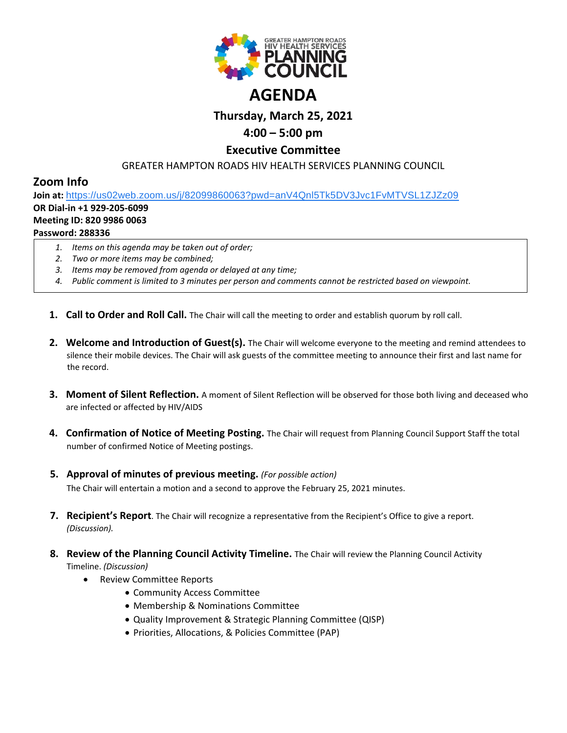

# **Thursday, March 25, 2021**

## **4:00 – 5:00 pm**

### **Executive Committee**

GREATER HAMPTON ROADS HIV HEALTH SERVICES PLANNING COUNCIL

## **Zoom Info**

**Join at:** [https://us02web.zoom.us/j/82099860063?pwd=anV4Qnl5Tk5DV3Jvc1FvMTVSL1ZJZz09](https://www.google.com/url?q=https://us02web.zoom.us/j/82099860063?pwd%3DanV4Qnl5Tk5DV3Jvc1FvMTVSL1ZJZz09&sa=D&source=calendar&ust=1616595038982000&usg=AOvVaw0XXWi-w2TTi7zJiXdjtkF1) **OR Dial-in +1 929-205-6099**

#### **Meeting ID: 820 9986 0063**

#### **Password: 288336**

- *1. Items on this agenda may be taken out of order;*
- *2. Two or more items may be combined;*
- *3. Items may be removed from agenda or delayed at any time;*
- *4. Public comment is limited to 3 minutes per person and comments cannot be restricted based on viewpoint.*
- **1. Call to Order and Roll Call.** The Chair will call the meeting to order and establish quorum by roll call.
- **2. Welcome and Introduction of Guest(s).** The Chair will welcome everyone to the meeting and remind attendees to silence their mobile devices. The Chair will ask guests of the committee meeting to announce their first and last name for the record.
- **3. Moment of Silent Reflection.** A moment of Silent Reflection will be observed for those both living and deceased who are infected or affected by HIV/AIDS
- **4. Confirmation of Notice of Meeting Posting.** The Chair will request from Planning Council Support Staff the total number of confirmed Notice of Meeting postings.
- **5. Approval of minutes of previous meeting.** *(For possible action)* The Chair will entertain a motion and a second to approve the February 25, 2021 minutes.
- **7. Recipient's Report**. The Chair will recognize a representative from the Recipient's Office to give a report. *(Discussion).*
- **8. Review of the Planning Council Activity Timeline.** The Chair will review the Planning Council Activity Timeline. *(Discussion)*
	- Review Committee Reports
		- Community Access Committee
		- Membership & Nominations Committee
		- Quality Improvement & Strategic Planning Committee (QISP)
		- Priorities, Allocations, & Policies Committee (PAP)